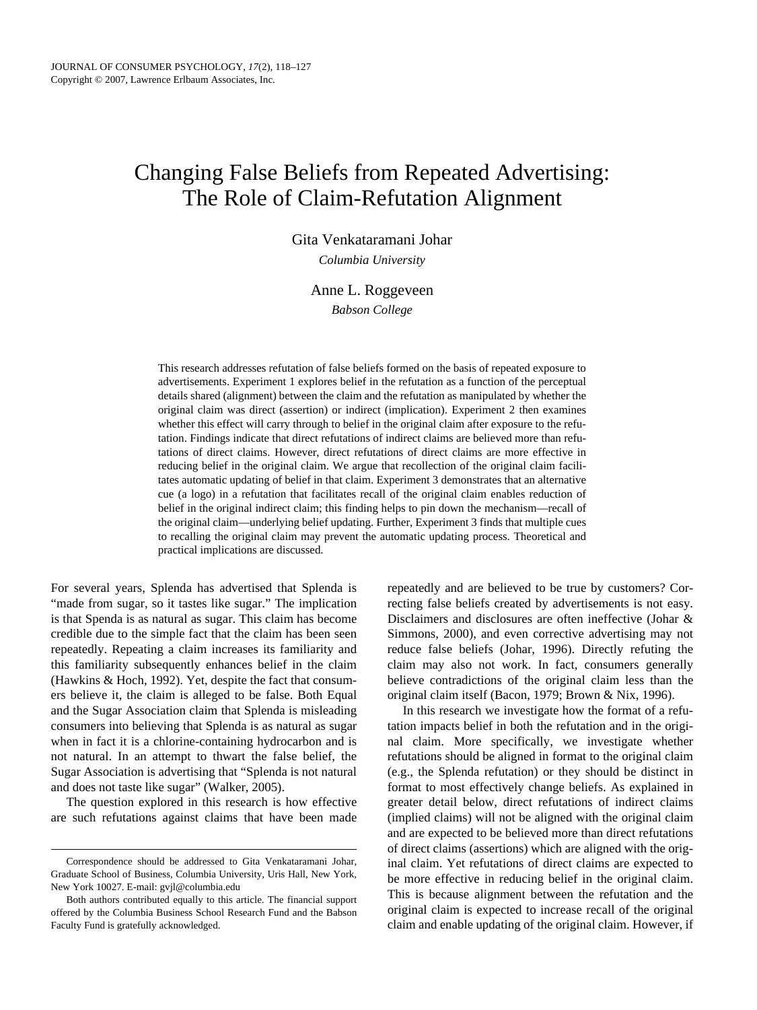# Changing False Beliefs from Repeated Advertising: The Role of Claim-Refutation Alignment

Gita Venkataramani Johar *Columbia University*

## Anne L. Roggeveen

*Babson College*

This research addresses refutation of false beliefs formed on the basis of repeated exposure to advertisements. Experiment 1 explores belief in the refutation as a function of the perceptual details shared (alignment) between the claim and the refutation as manipulated by whether the original claim was direct (assertion) or indirect (implication). Experiment 2 then examines whether this effect will carry through to belief in the original claim after exposure to the refutation. Findings indicate that direct refutations of indirect claims are believed more than refutations of direct claims. However, direct refutations of direct claims are more effective in reducing belief in the original claim. We argue that recollection of the original claim facilitates automatic updating of belief in that claim. Experiment 3 demonstrates that an alternative cue (a logo) in a refutation that facilitates recall of the original claim enables reduction of belief in the original indirect claim; this finding helps to pin down the mechanism—recall of the original claim—underlying belief updating. Further, Experiment 3 finds that multiple cues to recalling the original claim may prevent the automatic updating process. Theoretical and practical implications are discussed.

For several years, Splenda has advertised that Splenda is "made from sugar, so it tastes like sugar." The implication is that Spenda is as natural as sugar. This claim has become credible due to the simple fact that the claim has been seen repeatedly. Repeating a claim increases its familiarity and this familiarity subsequently enhances belief in the claim (Hawkins & Hoch, 1992). Yet, despite the fact that consumers believe it, the claim is alleged to be false. Both Equal and the Sugar Association claim that Splenda is misleading consumers into believing that Splenda is as natural as sugar when in fact it is a chlorine-containing hydrocarbon and is not natural. In an attempt to thwart the false belief, the Sugar Association is advertising that "Splenda is not natural and does not taste like sugar" (Walker, 2005).

The question explored in this research is how effective are such refutations against claims that have been made

repeatedly and are believed to be true by customers? Correcting false beliefs created by advertisements is not easy. Disclaimers and disclosures are often ineffective (Johar & Simmons, 2000), and even corrective advertising may not reduce false beliefs (Johar, 1996). Directly refuting the claim may also not work. In fact, consumers generally believe contradictions of the original claim less than the original claim itself (Bacon, 1979; Brown & Nix, 1996).

In this research we investigate how the format of a refutation impacts belief in both the refutation and in the original claim. More specifically, we investigate whether refutations should be aligned in format to the original claim (e.g., the Splenda refutation) or they should be distinct in format to most effectively change beliefs. As explained in greater detail below, direct refutations of indirect claims (implied claims) will not be aligned with the original claim and are expected to be believed more than direct refutations of direct claims (assertions) which are aligned with the original claim. Yet refutations of direct claims are expected to be more effective in reducing belief in the original claim. This is because alignment between the refutation and the original claim is expected to increase recall of the original claim and enable updating of the original claim. However, if

Correspondence should be addressed to Gita Venkataramani Johar, Graduate School of Business, Columbia University, Uris Hall, New York, New York 10027. E-mail: gvjl@columbia.edu

Both authors contributed equally to this article. The financial support offered by the Columbia Business School Research Fund and the Babson Faculty Fund is gratefully acknowledged.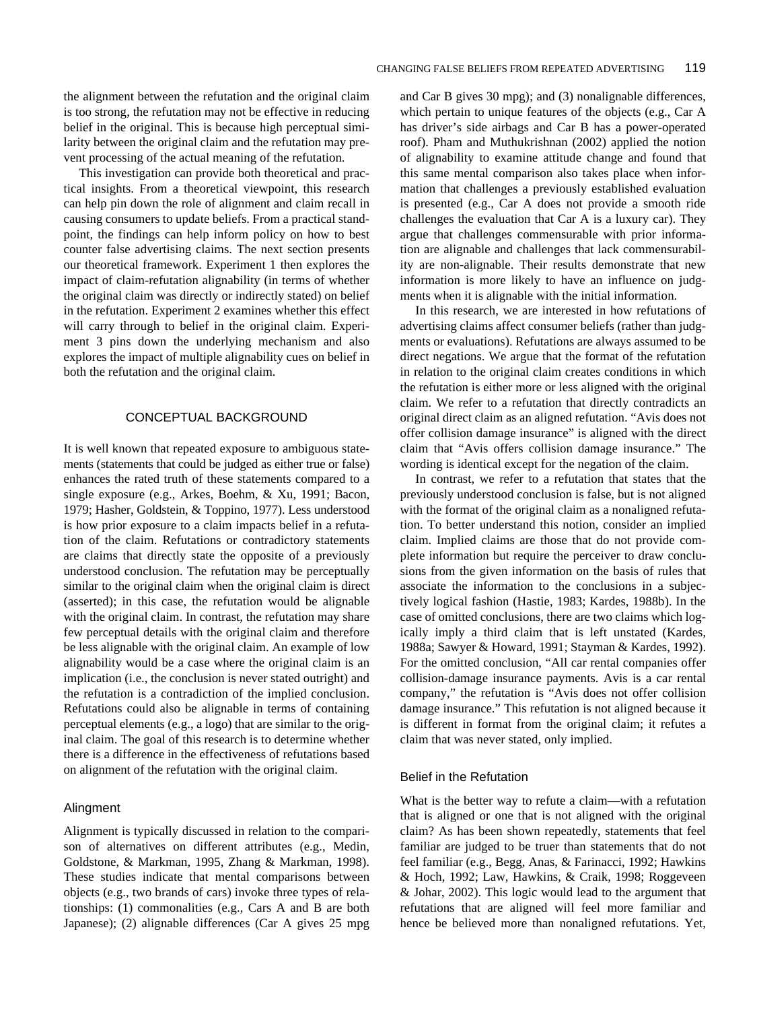the alignment between the refutation and the original claim is too strong, the refutation may not be effective in reducing belief in the original. This is because high perceptual similarity between the original claim and the refutation may prevent processing of the actual meaning of the refutation.

This investigation can provide both theoretical and practical insights. From a theoretical viewpoint, this research can help pin down the role of alignment and claim recall in causing consumers to update beliefs. From a practical standpoint, the findings can help inform policy on how to best counter false advertising claims. The next section presents our theoretical framework. Experiment 1 then explores the impact of claim-refutation alignability (in terms of whether the original claim was directly or indirectly stated) on belief in the refutation. Experiment 2 examines whether this effect will carry through to belief in the original claim. Experiment 3 pins down the underlying mechanism and also explores the impact of multiple alignability cues on belief in both the refutation and the original claim.

## CONCEPTUAL BACKGROUND

It is well known that repeated exposure to ambiguous statements (statements that could be judged as either true or false) enhances the rated truth of these statements compared to a single exposure (e.g., Arkes, Boehm, & Xu, 1991; Bacon, 1979; Hasher, Goldstein, & Toppino, 1977). Less understood is how prior exposure to a claim impacts belief in a refutation of the claim. Refutations or contradictory statements are claims that directly state the opposite of a previously understood conclusion. The refutation may be perceptually similar to the original claim when the original claim is direct (asserted); in this case, the refutation would be alignable with the original claim. In contrast, the refutation may share few perceptual details with the original claim and therefore be less alignable with the original claim. An example of low alignability would be a case where the original claim is an implication (i.e., the conclusion is never stated outright) and the refutation is a contradiction of the implied conclusion. Refutations could also be alignable in terms of containing perceptual elements (e.g., a logo) that are similar to the original claim. The goal of this research is to determine whether there is a difference in the effectiveness of refutations based on alignment of the refutation with the original claim.

### **Alingment**

Alignment is typically discussed in relation to the comparison of alternatives on different attributes (e.g., Medin, Goldstone, & Markman, 1995, Zhang & Markman, 1998). These studies indicate that mental comparisons between objects (e.g., two brands of cars) invoke three types of relationships: (1) commonalities (e.g., Cars A and B are both Japanese); (2) alignable differences (Car A gives 25 mpg

and Car B gives 30 mpg); and (3) nonalignable differences, which pertain to unique features of the objects (e.g., Car A has driver's side airbags and Car B has a power-operated roof). Pham and Muthukrishnan (2002) applied the notion of alignability to examine attitude change and found that this same mental comparison also takes place when information that challenges a previously established evaluation is presented (e.g., Car A does not provide a smooth ride challenges the evaluation that Car A is a luxury car). They argue that challenges commensurable with prior information are alignable and challenges that lack commensurability are non-alignable. Their results demonstrate that new information is more likely to have an influence on judgments when it is alignable with the initial information.

In this research, we are interested in how refutations of advertising claims affect consumer beliefs (rather than judgments or evaluations). Refutations are always assumed to be direct negations. We argue that the format of the refutation in relation to the original claim creates conditions in which the refutation is either more or less aligned with the original claim. We refer to a refutation that directly contradicts an original direct claim as an aligned refutation. "Avis does not offer collision damage insurance" is aligned with the direct claim that "Avis offers collision damage insurance." The wording is identical except for the negation of the claim.

In contrast, we refer to a refutation that states that the previously understood conclusion is false, but is not aligned with the format of the original claim as a nonaligned refutation. To better understand this notion, consider an implied claim. Implied claims are those that do not provide complete information but require the perceiver to draw conclusions from the given information on the basis of rules that associate the information to the conclusions in a subjectively logical fashion (Hastie, 1983; Kardes, 1988b). In the case of omitted conclusions, there are two claims which logically imply a third claim that is left unstated (Kardes, 1988a; Sawyer & Howard, 1991; Stayman & Kardes, 1992). For the omitted conclusion, "All car rental companies offer collision-damage insurance payments. Avis is a car rental company," the refutation is "Avis does not offer collision damage insurance." This refutation is not aligned because it is different in format from the original claim; it refutes a claim that was never stated, only implied.

### Belief in the Refutation

What is the better way to refute a claim—with a refutation that is aligned or one that is not aligned with the original claim? As has been shown repeatedly, statements that feel familiar are judged to be truer than statements that do not feel familiar (e.g., Begg, Anas, & Farinacci, 1992; Hawkins & Hoch, 1992; Law, Hawkins, & Craik, 1998; Roggeveen & Johar, 2002). This logic would lead to the argument that refutations that are aligned will feel more familiar and hence be believed more than nonaligned refutations. Yet,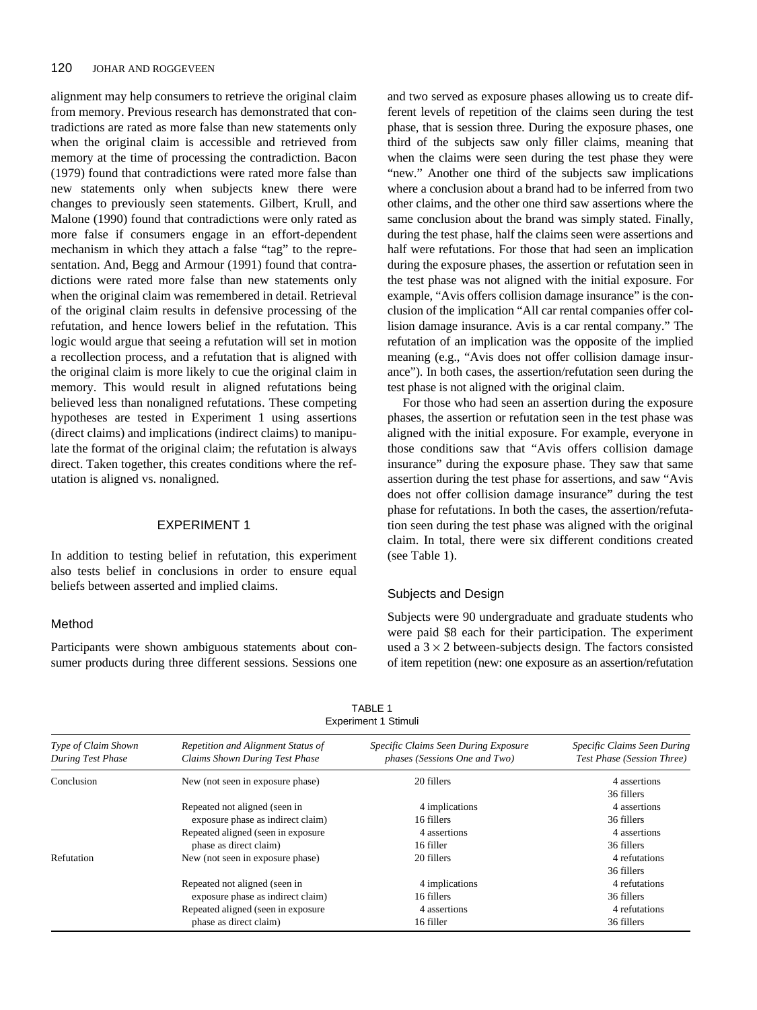alignment may help consumers to retrieve the original claim from memory. Previous research has demonstrated that contradictions are rated as more false than new statements only when the original claim is accessible and retrieved from memory at the time of processing the contradiction. Bacon (1979) found that contradictions were rated more false than new statements only when subjects knew there were changes to previously seen statements. Gilbert, Krull, and Malone (1990) found that contradictions were only rated as more false if consumers engage in an effort-dependent mechanism in which they attach a false "tag" to the representation. And, Begg and Armour (1991) found that contradictions were rated more false than new statements only when the original claim was remembered in detail. Retrieval of the original claim results in defensive processing of the refutation, and hence lowers belief in the refutation. This logic would argue that seeing a refutation will set in motion a recollection process, and a refutation that is aligned with the original claim is more likely to cue the original claim in memory. This would result in aligned refutations being believed less than nonaligned refutations. These competing hypotheses are tested in Experiment 1 using assertions (direct claims) and implications (indirect claims) to manipulate the format of the original claim; the refutation is always direct. Taken together, this creates conditions where the refutation is aligned vs. nonaligned.

# EXPERIMENT 1

In addition to testing belief in refutation, this experiment also tests belief in conclusions in order to ensure equal beliefs between asserted and implied claims.

# Method

Participants were shown ambiguous statements about consumer products during three different sessions. Sessions one and two served as exposure phases allowing us to create different levels of repetition of the claims seen during the test phase, that is session three. During the exposure phases, one third of the subjects saw only filler claims, meaning that when the claims were seen during the test phase they were "new." Another one third of the subjects saw implications where a conclusion about a brand had to be inferred from two other claims, and the other one third saw assertions where the same conclusion about the brand was simply stated. Finally, during the test phase, half the claims seen were assertions and half were refutations. For those that had seen an implication during the exposure phases, the assertion or refutation seen in the test phase was not aligned with the initial exposure. For example, "Avis offers collision damage insurance" is the conclusion of the implication "All car rental companies offer collision damage insurance. Avis is a car rental company." The refutation of an implication was the opposite of the implied meaning (e.g., "Avis does not offer collision damage insurance"). In both cases, the assertion/refutation seen during the test phase is not aligned with the original claim.

For those who had seen an assertion during the exposure phases, the assertion or refutation seen in the test phase was aligned with the initial exposure. For example, everyone in those conditions saw that "Avis offers collision damage insurance" during the exposure phase. They saw that same assertion during the test phase for assertions, and saw "Avis does not offer collision damage insurance" during the test phase for refutations. In both the cases, the assertion/refutation seen during the test phase was aligned with the original claim. In total, there were six different conditions created (see Table 1).

# Subjects and Design

Subjects were 90 undergraduate and graduate students who were paid \$8 each for their participation. The experiment used a  $3 \times 2$  between-subjects design. The factors consisted of item repetition (new: one exposure as an assertion/refutation

| Experiment 1 Stimuli                     |                                                                      |                                                                       |                                                           |
|------------------------------------------|----------------------------------------------------------------------|-----------------------------------------------------------------------|-----------------------------------------------------------|
| Type of Claim Shown<br>During Test Phase | Repetition and Alignment Status of<br>Claims Shown During Test Phase | Specific Claims Seen During Exposure<br>phases (Sessions One and Two) | Specific Claims Seen During<br>Test Phase (Session Three) |
| Conclusion                               | New (not seen in exposure phase)                                     | 20 fillers                                                            | 4 assertions<br>36 fillers                                |
|                                          | Repeated not aligned (seen in                                        | 4 implications                                                        | 4 assertions                                              |
|                                          | exposure phase as indirect claim)                                    | 16 fillers                                                            | 36 fillers                                                |
|                                          | Repeated aligned (seen in exposure                                   | 4 assertions                                                          | 4 assertions                                              |
|                                          | phase as direct claim)                                               | 16 filler                                                             | 36 fillers                                                |
| Refutation                               | New (not seen in exposure phase)                                     | 20 fillers                                                            | 4 refutations                                             |
|                                          |                                                                      |                                                                       | 36 fillers                                                |
|                                          | Repeated not aligned (seen in                                        | 4 implications                                                        | 4 refutations                                             |
|                                          | exposure phase as indirect claim)                                    | 16 fillers                                                            | 36 fillers                                                |
|                                          | Repeated aligned (seen in exposure)                                  | 4 assertions                                                          | 4 refutations                                             |
|                                          | phase as direct claim)                                               | 16 filler                                                             | 36 fillers                                                |

| TABLE 1                     |  |
|-----------------------------|--|
| <b>Experiment 1 Stimuli</b> |  |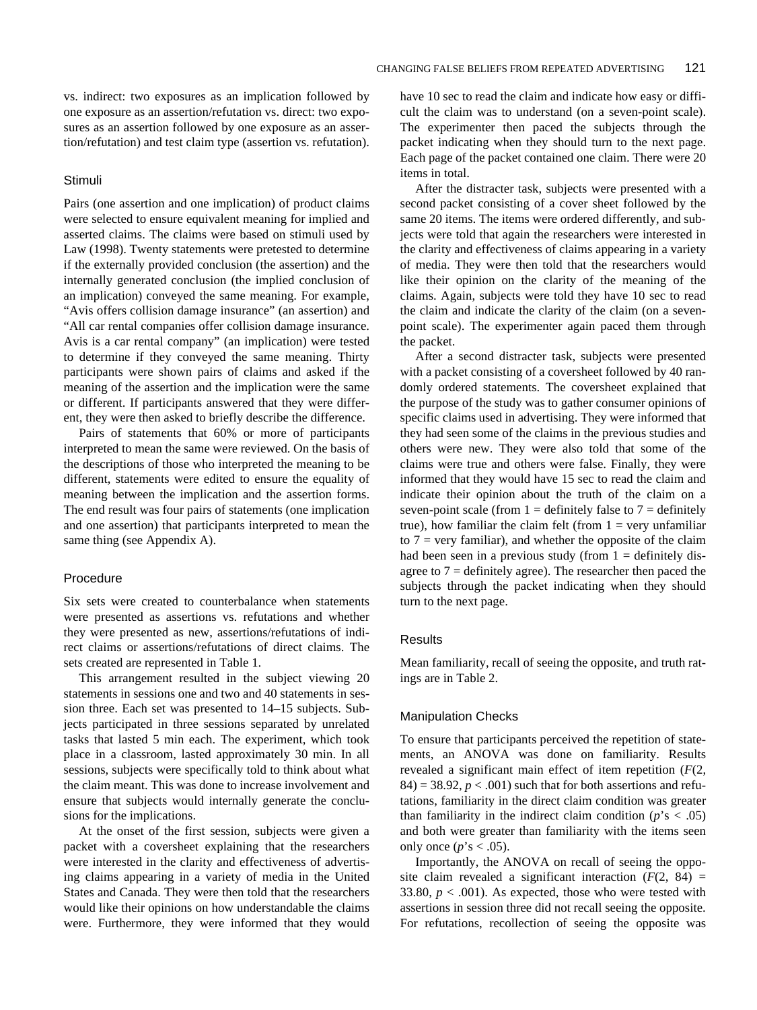vs. indirect: two exposures as an implication followed by one exposure as an assertion/refutation vs. direct: two exposures as an assertion followed by one exposure as an assertion/refutation) and test claim type (assertion vs. refutation).

# Stimuli

Pairs (one assertion and one implication) of product claims were selected to ensure equivalent meaning for implied and asserted claims. The claims were based on stimuli used by Law (1998). Twenty statements were pretested to determine if the externally provided conclusion (the assertion) and the internally generated conclusion (the implied conclusion of an implication) conveyed the same meaning. For example, "Avis offers collision damage insurance" (an assertion) and "All car rental companies offer collision damage insurance. Avis is a car rental company" (an implication) were tested to determine if they conveyed the same meaning. Thirty participants were shown pairs of claims and asked if the meaning of the assertion and the implication were the same or different. If participants answered that they were different, they were then asked to briefly describe the difference.

Pairs of statements that 60% or more of participants interpreted to mean the same were reviewed. On the basis of the descriptions of those who interpreted the meaning to be different, statements were edited to ensure the equality of meaning between the implication and the assertion forms. The end result was four pairs of statements (one implication and one assertion) that participants interpreted to mean the same thing (see Appendix A).

## Procedure

Six sets were created to counterbalance when statements were presented as assertions vs. refutations and whether they were presented as new, assertions/refutations of indirect claims or assertions/refutations of direct claims. The sets created are represented in Table 1.

This arrangement resulted in the subject viewing 20 statements in sessions one and two and 40 statements in session three. Each set was presented to 14–15 subjects. Subjects participated in three sessions separated by unrelated tasks that lasted 5 min each. The experiment, which took place in a classroom, lasted approximately 30 min. In all sessions, subjects were specifically told to think about what the claim meant. This was done to increase involvement and ensure that subjects would internally generate the conclusions for the implications.

At the onset of the first session, subjects were given a packet with a coversheet explaining that the researchers were interested in the clarity and effectiveness of advertising claims appearing in a variety of media in the United States and Canada. They were then told that the researchers would like their opinions on how understandable the claims were. Furthermore, they were informed that they would have 10 sec to read the claim and indicate how easy or difficult the claim was to understand (on a seven-point scale). The experimenter then paced the subjects through the packet indicating when they should turn to the next page. Each page of the packet contained one claim. There were 20 items in total.

After the distracter task, subjects were presented with a second packet consisting of a cover sheet followed by the same 20 items. The items were ordered differently, and subjects were told that again the researchers were interested in the clarity and effectiveness of claims appearing in a variety of media. They were then told that the researchers would like their opinion on the clarity of the meaning of the claims. Again, subjects were told they have 10 sec to read the claim and indicate the clarity of the claim (on a sevenpoint scale). The experimenter again paced them through the packet.

After a second distracter task, subjects were presented with a packet consisting of a coversheet followed by 40 randomly ordered statements. The coversheet explained that the purpose of the study was to gather consumer opinions of specific claims used in advertising. They were informed that they had seen some of the claims in the previous studies and others were new. They were also told that some of the claims were true and others were false. Finally, they were informed that they would have 15 sec to read the claim and indicate their opinion about the truth of the claim on a seven-point scale (from  $1 =$  definitely false to  $7 =$  definitely true), how familiar the claim felt (from  $1 = \text{very unfamiliar}$ to  $7$  = very familiar), and whether the opposite of the claim had been seen in a previous study (from  $1 =$  definitely disagree to  $7 =$  definitely agree). The researcher then paced the subjects through the packet indicating when they should turn to the next page.

## **Results**

Mean familiarity, recall of seeing the opposite, and truth ratings are in Table 2.

## Manipulation Checks

To ensure that participants perceived the repetition of statements, an ANOVA was done on familiarity. Results revealed a significant main effect of item repetition (*F*(2,  $84$ ) = 38.92,  $p < .001$ ) such that for both assertions and refutations, familiarity in the direct claim condition was greater than familiarity in the indirect claim condition  $(p's < .05)$ and both were greater than familiarity with the items seen only once  $(p's < .05)$ .

Importantly, the ANOVA on recall of seeing the opposite claim revealed a significant interaction  $(F(2, 84) =$ 33.80,  $p < .001$ ). As expected, those who were tested with assertions in session three did not recall seeing the opposite. For refutations, recollection of seeing the opposite was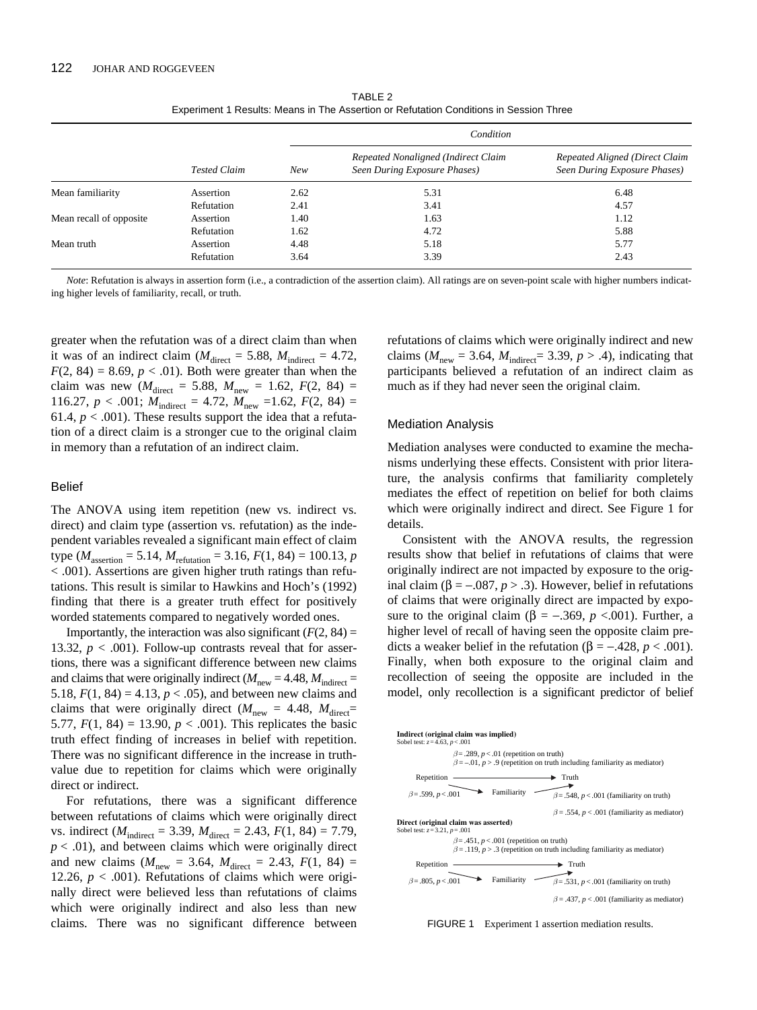| TABLE 2                                                                                |  |
|----------------------------------------------------------------------------------------|--|
| Experiment 1 Results: Means in The Assertion or Refutation Conditions in Session Three |  |

|                         |                     |      | Condition                                                           |                                                                |  |
|-------------------------|---------------------|------|---------------------------------------------------------------------|----------------------------------------------------------------|--|
|                         | <b>Tested Claim</b> | New  | Repeated Nonaligned (Indirect Claim<br>Seen During Exposure Phases) | Repeated Aligned (Direct Claim<br>Seen During Exposure Phases) |  |
| Mean familiarity        | Assertion           | 2.62 | 5.31                                                                | 6.48                                                           |  |
|                         | Refutation          | 2.41 | 3.41                                                                | 4.57                                                           |  |
| Mean recall of opposite | Assertion           | 1.40 | 1.63                                                                | 1.12                                                           |  |
|                         | Refutation          | 1.62 | 4.72                                                                | 5.88                                                           |  |
| Mean truth              | Assertion           | 4.48 | 5.18                                                                | 5.77                                                           |  |
|                         | Refutation          | 3.64 | 3.39                                                                | 2.43                                                           |  |

*Note*: Refutation is always in assertion form (i.e., a contradiction of the assertion claim). All ratings are on seven-point scale with higher numbers indicating higher levels of familiarity, recall, or truth.

greater when the refutation was of a direct claim than when it was of an indirect claim ( $M_{\text{direct}} = 5.88$ ,  $M_{\text{indirect}} = 4.72$ ,  $F(2, 84) = 8.69$ ,  $p < .01$ ). Both were greater than when the claim was new  $(M_{\text{direct}} = 5.88, M_{\text{new}} = 1.62, F(2, 84) =$ 116.27,  $p < .001$ ;  $M_{\text{indirect}} = 4.72$ ,  $M_{\text{new}} = 1.62$ ,  $F(2, 84) =$ 61.4,  $p < .001$ ). These results support the idea that a refutation of a direct claim is a stronger cue to the original claim in memory than a refutation of an indirect claim.

## Belief

The ANOVA using item repetition (new vs. indirect vs. direct) and claim type (assertion vs. refutation) as the independent variables revealed a significant main effect of claim type ( $M_{\text{assertion}} = 5.14$ ,  $M_{\text{refutation}} = 3.16$ ,  $F(1, 84) = 100.13$ , *p* < .001). Assertions are given higher truth ratings than refutations. This result is similar to Hawkins and Hoch's (1992) finding that there is a greater truth effect for positively worded statements compared to negatively worded ones.

Importantly, the interaction was also significant  $(F(2, 84))$  = 13.32,  $p < .001$ ). Follow-up contrasts reveal that for assertions, there was a significant difference between new claims and claims that were originally indirect ( $M_{\text{new}} = 4.48$ ,  $M_{\text{indirect}} =$ 5.18,  $F(1, 84) = 4.13$ ,  $p < .05$ ), and between new claims and claims that were originally direct ( $M_{\text{new}} = 4.48$ ,  $M_{\text{direct}} =$ 5.77,  $F(1, 84) = 13.90, p < .001$ ). This replicates the basic truth effect finding of increases in belief with repetition. There was no significant difference in the increase in truthvalue due to repetition for claims which were originally direct or indirect.

For refutations, there was a significant difference between refutations of claims which were originally direct vs. indirect ( $M_{\text{indirect}} = 3.39$ ,  $M_{\text{direct}} = 2.43$ ,  $F(1, 84) = 7.79$ ,  $p < .01$ ), and between claims which were originally direct and new claims ( $M_{\text{new}} = 3.64$ ,  $M_{\text{direct}} = 2.43$ ,  $F(1, 84) =$ 12.26,  $p < .001$ ). Refutations of claims which were originally direct were believed less than refutations of claims which were originally indirect and also less than new claims. There was no significant difference between refutations of claims which were originally indirect and new claims ( $M_{\text{new}} = 3.64$ ,  $M_{\text{indirect}} = 3.39$ ,  $p > .4$ ), indicating that participants believed a refutation of an indirect claim as much as if they had never seen the original claim.

## Mediation Analysis

Mediation analyses were conducted to examine the mechanisms underlying these effects. Consistent with prior literature, the analysis confirms that familiarity completely mediates the effect of repetition on belief for both claims which were originally indirect and direct. See Figure 1 for details.

Consistent with the ANOVA results, the regression results show that belief in refutations of claims that were originally indirect are not impacted by exposure to the original claim (β = −.087, *p* > .3). However, belief in refutations of claims that were originally direct are impacted by exposure to the original claim ( $\beta = -.369$ ,  $p < .001$ ). Further, a higher level of recall of having seen the opposite claim predicts a weaker belief in the refutation (β =  $-.428, p < .001$ ). Finally, when both exposure to the original claim and recollection of seeing the opposite are included in the model, only recollection is a significant predictor of belief



FIGURE 1 Experiment 1 assertion mediation results.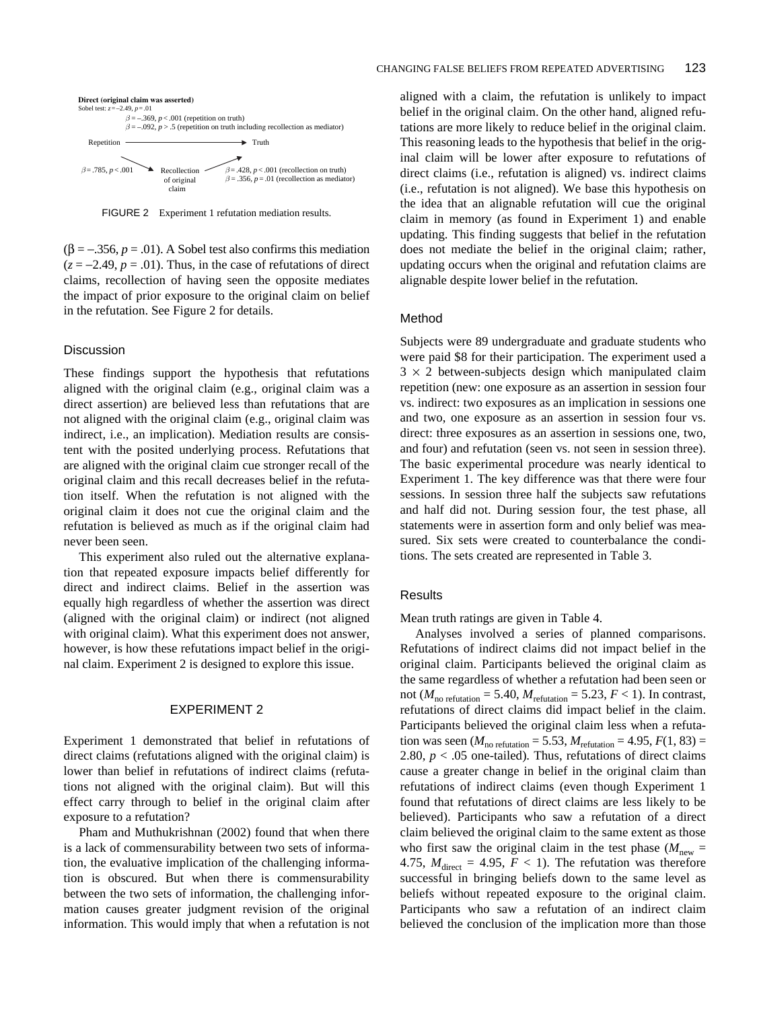FIGURE 2 Experiment 1 refutation mediation results.

 $(\beta = -.356, p = .01)$ . A Sobel test also confirms this mediation  $(z = -2.49, p = .01)$ . Thus, in the case of refutations of direct claims, recollection of having seen the opposite mediates the impact of prior exposure to the original claim on belief in the refutation. See Figure 2 for details.

#### **Discussion**

These findings support the hypothesis that refutations aligned with the original claim (e.g., original claim was a direct assertion) are believed less than refutations that are not aligned with the original claim (e.g., original claim was indirect, i.e., an implication). Mediation results are consistent with the posited underlying process. Refutations that are aligned with the original claim cue stronger recall of the original claim and this recall decreases belief in the refutation itself. When the refutation is not aligned with the original claim it does not cue the original claim and the refutation is believed as much as if the original claim had never been seen.

This experiment also ruled out the alternative explanation that repeated exposure impacts belief differently for direct and indirect claims. Belief in the assertion was equally high regardless of whether the assertion was direct (aligned with the original claim) or indirect (not aligned with original claim). What this experiment does not answer, however, is how these refutations impact belief in the original claim. Experiment 2 is designed to explore this issue.

#### EXPERIMENT 2

Experiment 1 demonstrated that belief in refutations of direct claims (refutations aligned with the original claim) is lower than belief in refutations of indirect claims (refutations not aligned with the original claim). But will this effect carry through to belief in the original claim after exposure to a refutation?

Pham and Muthukrishnan (2002) found that when there is a lack of commensurability between two sets of information, the evaluative implication of the challenging information is obscured. But when there is commensurability between the two sets of information, the challenging information causes greater judgment revision of the original information. This would imply that when a refutation is not

aligned with a claim, the refutation is unlikely to impact belief in the original claim. On the other hand, aligned refutations are more likely to reduce belief in the original claim. This reasoning leads to the hypothesis that belief in the original claim will be lower after exposure to refutations of direct claims (i.e., refutation is aligned) vs. indirect claims (i.e., refutation is not aligned). We base this hypothesis on the idea that an alignable refutation will cue the original claim in memory (as found in Experiment 1) and enable updating. This finding suggests that belief in the refutation does not mediate the belief in the original claim; rather, updating occurs when the original and refutation claims are alignable despite lower belief in the refutation.

#### Method

Subjects were 89 undergraduate and graduate students who were paid \$8 for their participation. The experiment used a  $3 \times 2$  between-subjects design which manipulated claim repetition (new: one exposure as an assertion in session four vs. indirect: two exposures as an implication in sessions one and two, one exposure as an assertion in session four vs. direct: three exposures as an assertion in sessions one, two, and four) and refutation (seen vs. not seen in session three). The basic experimental procedure was nearly identical to Experiment 1. The key difference was that there were four sessions. In session three half the subjects saw refutations and half did not. During session four, the test phase, all statements were in assertion form and only belief was measured. Six sets were created to counterbalance the conditions. The sets created are represented in Table 3.

#### **Results**

Mean truth ratings are given in Table 4.

Analyses involved a series of planned comparisons. Refutations of indirect claims did not impact belief in the original claim. Participants believed the original claim as the same regardless of whether a refutation had been seen or not ( $M_{\text{no refutation}} = 5.40$ ,  $M_{\text{refutation}} = 5.23$ ,  $F < 1$ ). In contrast, refutations of direct claims did impact belief in the claim. Participants believed the original claim less when a refutation was seen ( $M_{\text{no refutation}} = 5.53$ ,  $M_{\text{refutation}} = 4.95$ ,  $F(1, 83) =$ 2.80,  $p < .05$  one-tailed). Thus, refutations of direct claims cause a greater change in belief in the original claim than refutations of indirect claims (even though Experiment 1 found that refutations of direct claims are less likely to be believed). Participants who saw a refutation of a direct claim believed the original claim to the same extent as those who first saw the original claim in the test phase ( $M_{\text{new}}$  = 4.75,  $M_{\text{direct}} = 4.95, F < 1$ ). The refutation was therefore successful in bringing beliefs down to the same level as beliefs without repeated exposure to the original claim. Participants who saw a refutation of an indirect claim believed the conclusion of the implication more than those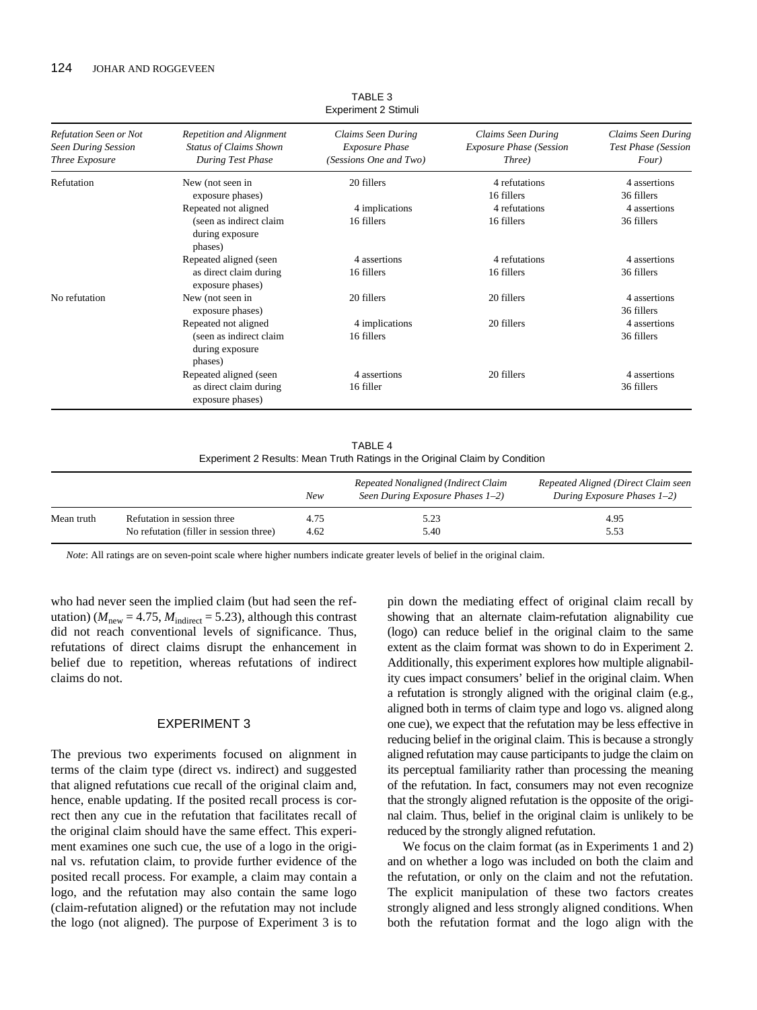| Refutation Seen or Not<br><b>Seen During Session</b><br>Three Exposure | Repetition and Alignment<br><b>Status of Claims Shown</b><br>During Test Phase | Claims Seen During<br><b>Exposure Phase</b><br>(Sessions One and Two) | Claims Seen During<br><b>Exposure Phase (Session</b><br>Three) | Claims Seen During<br><b>Test Phase (Session</b><br>Four) |
|------------------------------------------------------------------------|--------------------------------------------------------------------------------|-----------------------------------------------------------------------|----------------------------------------------------------------|-----------------------------------------------------------|
| Refutation                                                             | New (not seen in<br>exposure phases)                                           | 20 fillers                                                            | 4 refutations<br>16 fillers                                    | 4 assertions<br>36 fillers                                |
|                                                                        | Repeated not aligned<br>(seen as indirect claim<br>during exposure<br>phases)  | 4 implications<br>16 fillers                                          | 4 refutations<br>16 fillers                                    | 4 assertions<br>36 fillers                                |
|                                                                        | Repeated aligned (seen<br>as direct claim during<br>exposure phases)           | 4 assertions<br>16 fillers                                            | 4 refutations<br>16 fillers                                    | 4 assertions<br>36 fillers                                |
| No refutation                                                          | New (not seen in<br>exposure phases)                                           | 20 fillers                                                            | 20 fillers                                                     | 4 assertions<br>36 fillers                                |
|                                                                        | Repeated not aligned<br>(seen as indirect claim<br>during exposure<br>phases)  | 4 implications<br>16 fillers                                          | 20 fillers                                                     | 4 assertions<br>36 fillers                                |
|                                                                        | Repeated aligned (seen<br>as direct claim during<br>exposure phases)           | 4 assertions<br>16 filler                                             | 20 fillers                                                     | 4 assertions<br>36 fillers                                |

TABLE 3 Experiment 2 Stimuli

| TABLE 4                                                                     |
|-----------------------------------------------------------------------------|
| Experiment 2 Results: Mean Truth Ratings in the Original Claim by Condition |

|            |                                         | <b>New</b> | Repeated Nonaligned (Indirect Claim<br>Seen During Exposure Phases 1–2) | Repeated Aligned (Direct Claim seen<br>During Exposure Phases $1-2$ ) |
|------------|-----------------------------------------|------------|-------------------------------------------------------------------------|-----------------------------------------------------------------------|
| Mean truth | Refutation in session three             | 4.75       | 5.23                                                                    | 4.95                                                                  |
|            | No refutation (filler in session three) | 4.62       | 5.40                                                                    | 5.53                                                                  |

*Note*: All ratings are on seven-point scale where higher numbers indicate greater levels of belief in the original claim.

who had never seen the implied claim (but had seen the refutation) ( $M_{\text{new}} = 4.75$ ,  $M_{\text{indirect}} = 5.23$ ), although this contrast did not reach conventional levels of significance. Thus, refutations of direct claims disrupt the enhancement in belief due to repetition, whereas refutations of indirect claims do not.

## EXPERIMENT 3

The previous two experiments focused on alignment in terms of the claim type (direct vs. indirect) and suggested that aligned refutations cue recall of the original claim and, hence, enable updating. If the posited recall process is correct then any cue in the refutation that facilitates recall of the original claim should have the same effect. This experiment examines one such cue, the use of a logo in the original vs. refutation claim, to provide further evidence of the posited recall process. For example, a claim may contain a logo, and the refutation may also contain the same logo (claim-refutation aligned) or the refutation may not include the logo (not aligned). The purpose of Experiment 3 is to

pin down the mediating effect of original claim recall by showing that an alternate claim-refutation alignability cue (logo) can reduce belief in the original claim to the same extent as the claim format was shown to do in Experiment 2. Additionally, this experiment explores how multiple alignability cues impact consumers' belief in the original claim. When a refutation is strongly aligned with the original claim (e.g., aligned both in terms of claim type and logo vs. aligned along one cue), we expect that the refutation may be less effective in reducing belief in the original claim. This is because a strongly aligned refutation may cause participants to judge the claim on its perceptual familiarity rather than processing the meaning of the refutation. In fact, consumers may not even recognize that the strongly aligned refutation is the opposite of the original claim. Thus, belief in the original claim is unlikely to be reduced by the strongly aligned refutation.

We focus on the claim format (as in Experiments 1 and 2) and on whether a logo was included on both the claim and the refutation, or only on the claim and not the refutation. The explicit manipulation of these two factors creates strongly aligned and less strongly aligned conditions. When both the refutation format and the logo align with the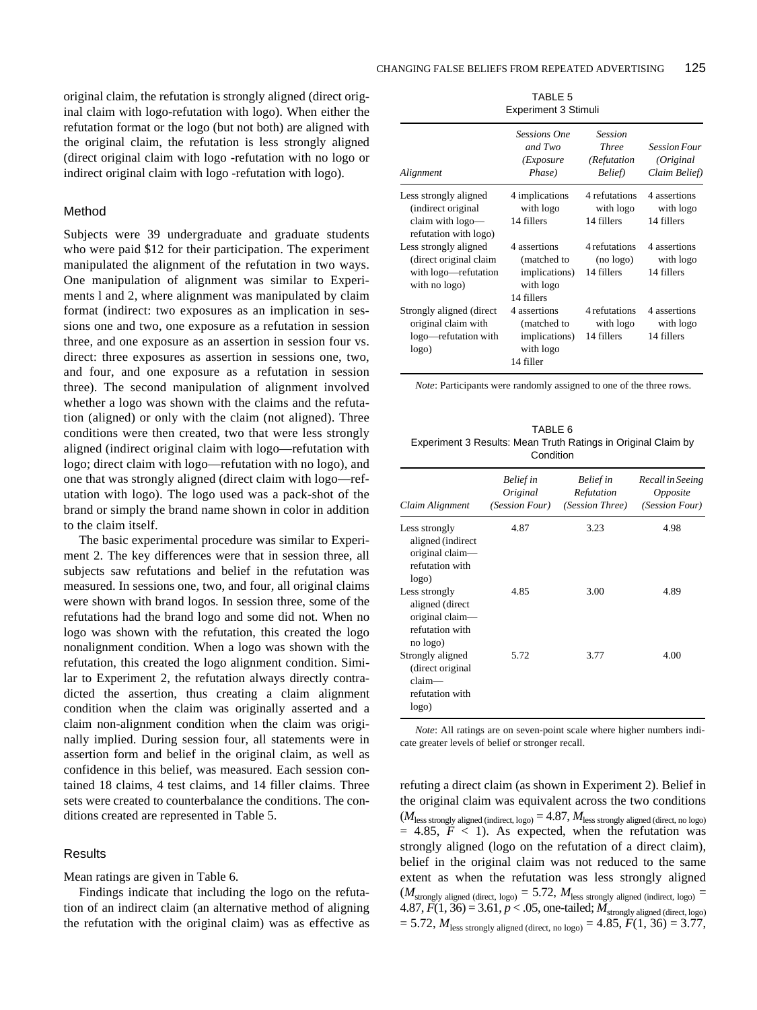original claim, the refutation is strongly aligned (direct original claim with logo-refutation with logo). When either the refutation format or the logo (but not both) are aligned with the original claim, the refutation is less strongly aligned (direct original claim with logo -refutation with no logo or indirect original claim with logo -refutation with logo).

## Method

Subjects were 39 undergraduate and graduate students who were paid \$12 for their participation. The experiment manipulated the alignment of the refutation in two ways. One manipulation of alignment was similar to Experiments l and 2, where alignment was manipulated by claim format (indirect: two exposures as an implication in sessions one and two, one exposure as a refutation in session three, and one exposure as an assertion in session four vs. direct: three exposures as assertion in sessions one, two, and four, and one exposure as a refutation in session three). The second manipulation of alignment involved whether a logo was shown with the claims and the refutation (aligned) or only with the claim (not aligned). Three conditions were then created, two that were less strongly aligned (indirect original claim with logo—refutation with logo; direct claim with logo—refutation with no logo), and one that was strongly aligned (direct claim with logo—refutation with logo). The logo used was a pack-shot of the brand or simply the brand name shown in color in addition to the claim itself.

The basic experimental procedure was similar to Experiment 2. The key differences were that in session three, all subjects saw refutations and belief in the refutation was measured. In sessions one, two, and four, all original claims were shown with brand logos. In session three, some of the refutations had the brand logo and some did not. When no logo was shown with the refutation, this created the logo nonalignment condition. When a logo was shown with the refutation, this created the logo alignment condition. Similar to Experiment 2, the refutation always directly contradicted the assertion, thus creating a claim alignment condition when the claim was originally asserted and a claim non-alignment condition when the claim was originally implied. During session four, all statements were in assertion form and belief in the original claim, as well as confidence in this belief, was measured. Each session contained 18 claims, 4 test claims, and 14 filler claims. Three sets were created to counterbalance the conditions. The conditions created are represented in Table 5.

#### **Results**

Mean ratings are given in Table 6.

Findings indicate that including the logo on the refutation of an indirect claim (an alternative method of aligning the refutation with the original claim) was as effective as

TABLE 5 Experiment 3 Stimuli

| Alignment                                                                                 | <b>Sessions One</b><br>and Two<br>( <i>Exposure</i><br>Phase)           | <b>Session</b><br><b>Three</b><br>(Refutation<br>Belief) | <b>Session Four</b><br>(Original<br>Claim Belief) |
|-------------------------------------------------------------------------------------------|-------------------------------------------------------------------------|----------------------------------------------------------|---------------------------------------------------|
| Less strongly aligned<br>(indirect original)<br>claim with logo-<br>refutation with logo) | 4 implications<br>with logo<br>14 fillers                               | 4 refutations<br>with logo<br>14 fillers                 | 4 assertions<br>with logo<br>14 fillers           |
| Less strongly aligned<br>(direct original claim<br>with logo—refutation<br>with no logo)  | 4 assertions<br>(matched to<br>implications)<br>with logo<br>14 fillers | 4 refutations<br>(no logo)<br>14 fillers                 | 4 assertions<br>with logo<br>14 fillers           |
| Strongly aligned (direct<br>original claim with<br>logo—refutation with<br>logo)          | 4 assertions<br>(matched to<br>implications)<br>with logo<br>14 filler  | 4 refutations<br>with logo<br>14 fillers                 | 4 assertions<br>with logo<br>14 fillers           |

*Note*: Participants were randomly assigned to one of the three rows.

TABLE 6 Experiment 3 Results: Mean Truth Ratings in Original Claim by Condition

| Claim Alignment                                                                    | <b>Belief</b> in<br>Original<br>(Session Four) | <b>Belief</b> in<br>Refutation<br>(Session Three) | Recall in Seeing<br><i>Opposite</i><br>(Session Four) |
|------------------------------------------------------------------------------------|------------------------------------------------|---------------------------------------------------|-------------------------------------------------------|
| Less strongly<br>aligned (indirect<br>original claim-<br>refutation with<br>logo)  | 4.87                                           | 3.23                                              | 4.98                                                  |
| Less strongly<br>aligned (direct<br>original claim-<br>refutation with<br>no logo) | 4.85                                           | 3.00                                              | 4.89                                                  |
| Strongly aligned<br>(direct original)<br>claim—<br>refutation with<br>logo)        | 5.72                                           | 3.77                                              | 4.00                                                  |

*Note*: All ratings are on seven-point scale where higher numbers indicate greater levels of belief or stronger recall.

refuting a direct claim (as shown in Experiment 2). Belief in the original claim was equivalent across the two conditions  $(M<sub>less</sub> strongly aligned (indirect, logo) = 4.87, M<sub>less</sub> strongly aligned (direct, no logo)$  $= 4.85, F < 1$ ). As expected, when the refutation was strongly aligned (logo on the refutation of a direct claim), belief in the original claim was not reduced to the same extent as when the refutation was less strongly aligned  $(M_{\text{strongly aligned (direct, logo)}} = 5.72, M_{\text{less strongly aligned (indirect, logo)}} =$ 4.87,  $F(1, 36) = 3.61$ ,  $p < .05$ , one-tailed;  $M_{\text{strongly aligned}}$  (direct, logo)  $= 5.72$ ,  $M_{\text{less strongly aligned (direct, no logo)}} = 4.85$ ,  $F(1, 36) = 3.77$ ,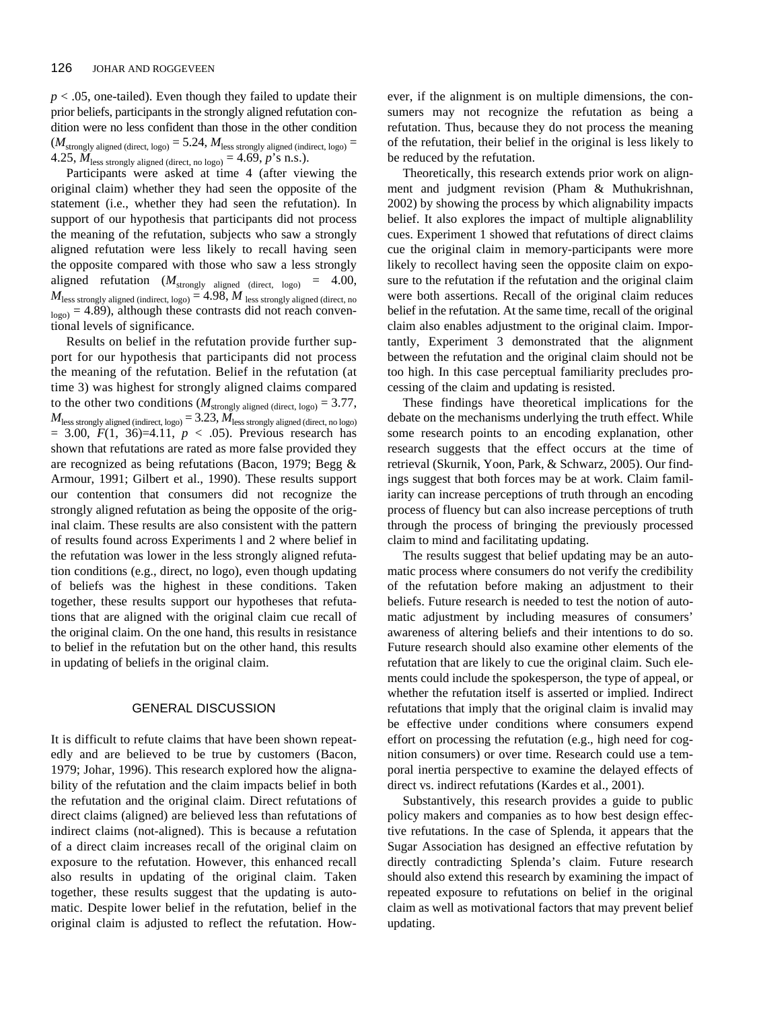$p < .05$ , one-tailed). Even though they failed to update their prior beliefs, participants in the strongly aligned refutation condition were no less confident than those in the other condition  $(M_{\text{strongly aligned (direct, logo)}} = 5.24, M_{\text{less strongly aligned (indirect, logo)}} =$ 4.25,  $M_{\text{less strongly aligned (direct, no logo)}} = 4.69, p's \text{ n.s.}.$ 

Participants were asked at time 4 (after viewing the original claim) whether they had seen the opposite of the statement (i.e., whether they had seen the refutation). In support of our hypothesis that participants did not process the meaning of the refutation, subjects who saw a strongly aligned refutation were less likely to recall having seen the opposite compared with those who saw a less strongly aligned refutation  $(M_{\text{strongly aligned (direct, logo})} = 4.00,$  $M_{\rm less \ strongly \ aligned \ (indirect, \ logo)}$  =  $4.98, M_{\rm \ less \ strongly \ aligned \ (direct, no)}$  $L_{\text{loop}}$  = 4.89), although these contrasts did not reach conventional levels of significance.

Results on belief in the refutation provide further support for our hypothesis that participants did not process the meaning of the refutation. Belief in the refutation (at time 3) was highest for strongly aligned claims compared to the other two conditions ( $M_{\text{strongly aligned (direct, logo)}} = 3.77$ ,  $M_{\rm less \ strongly \ aligned \ (indirect, \ logo)}$  =  $3.23,$   $M_{\rm less \ strongly \ aligned \ (direct, \ no \ logo)}$  $= 3.00, F(1, 36)=4.11, p < .05$ . Previous research has shown that refutations are rated as more false provided they are recognized as being refutations (Bacon, 1979; Begg & Armour, 1991; Gilbert et al., 1990). These results support our contention that consumers did not recognize the strongly aligned refutation as being the opposite of the original claim. These results are also consistent with the pattern of results found across Experiments l and 2 where belief in the refutation was lower in the less strongly aligned refutation conditions (e.g., direct, no logo), even though updating of beliefs was the highest in these conditions. Taken together, these results support our hypotheses that refutations that are aligned with the original claim cue recall of the original claim. On the one hand, this results in resistance to belief in the refutation but on the other hand, this results in updating of beliefs in the original claim.

## GENERAL DISCUSSION

It is difficult to refute claims that have been shown repeatedly and are believed to be true by customers (Bacon, 1979; Johar, 1996). This research explored how the alignability of the refutation and the claim impacts belief in both the refutation and the original claim. Direct refutations of direct claims (aligned) are believed less than refutations of indirect claims (not-aligned). This is because a refutation of a direct claim increases recall of the original claim on exposure to the refutation. However, this enhanced recall also results in updating of the original claim. Taken together, these results suggest that the updating is automatic. Despite lower belief in the refutation, belief in the original claim is adjusted to reflect the refutation. However, if the alignment is on multiple dimensions, the consumers may not recognize the refutation as being a refutation. Thus, because they do not process the meaning of the refutation, their belief in the original is less likely to be reduced by the refutation.

Theoretically, this research extends prior work on alignment and judgment revision (Pham & Muthukrishnan, 2002) by showing the process by which alignability impacts belief. It also explores the impact of multiple alignablility cues. Experiment 1 showed that refutations of direct claims cue the original claim in memory-participants were more likely to recollect having seen the opposite claim on exposure to the refutation if the refutation and the original claim were both assertions. Recall of the original claim reduces belief in the refutation. At the same time, recall of the original claim also enables adjustment to the original claim. Importantly, Experiment 3 demonstrated that the alignment between the refutation and the original claim should not be too high. In this case perceptual familiarity precludes processing of the claim and updating is resisted.

These findings have theoretical implications for the debate on the mechanisms underlying the truth effect. While some research points to an encoding explanation, other research suggests that the effect occurs at the time of retrieval (Skurnik, Yoon, Park, & Schwarz, 2005). Our findings suggest that both forces may be at work. Claim familiarity can increase perceptions of truth through an encoding process of fluency but can also increase perceptions of truth through the process of bringing the previously processed claim to mind and facilitating updating.

The results suggest that belief updating may be an automatic process where consumers do not verify the credibility of the refutation before making an adjustment to their beliefs. Future research is needed to test the notion of automatic adjustment by including measures of consumers' awareness of altering beliefs and their intentions to do so. Future research should also examine other elements of the refutation that are likely to cue the original claim. Such elements could include the spokesperson, the type of appeal, or whether the refutation itself is asserted or implied. Indirect refutations that imply that the original claim is invalid may be effective under conditions where consumers expend effort on processing the refutation (e.g., high need for cognition consumers) or over time. Research could use a temporal inertia perspective to examine the delayed effects of direct vs. indirect refutations (Kardes et al., 2001).

Substantively, this research provides a guide to public policy makers and companies as to how best design effective refutations. In the case of Splenda, it appears that the Sugar Association has designed an effective refutation by directly contradicting Splenda's claim. Future research should also extend this research by examining the impact of repeated exposure to refutations on belief in the original claim as well as motivational factors that may prevent belief updating.